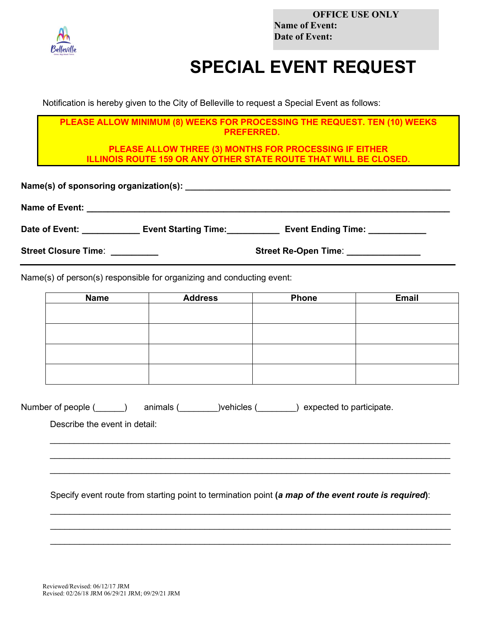

**OFFICE USE ONLY Name of Event: Date of Event:**

## **SPECIAL EVENT REQUEST**

Notification is hereby given to the City of Belleville to request a Special Event as follows:

**PLEASE ALLOW MINIMUM (8) WEEKS FOR PROCESSING THE REQUEST. TEN (10) WEEKS PREFERRED.**

**PLEASE ALLOW THREE (3) MONTHS FOR PROCESSING IF EITHER ILLINOIS ROUTE 159 OR ANY OTHER STATE ROUTE THAT WILL BE CLOSED.**

| Date of Event:                 | Event Starting Time: | <b>Event Ending Time:</b>            |
|--------------------------------|----------------------|--------------------------------------|
| Street Closure Time: _________ |                      | Street Re-Open Time: _______________ |

Name(s) of person(s) responsible for organizing and conducting event:

| <b>Name</b> | <b>Address</b> | <b>Phone</b> | <b>Email</b> |
|-------------|----------------|--------------|--------------|
|             |                |              |              |
|             |                |              |              |
|             |                |              |              |
|             |                |              |              |
|             |                |              |              |
|             |                |              |              |
|             |                |              |              |
|             |                |              |              |

| Number of people ( | animals ( | )vehicles <i>(</i> | ) expected to participate. |
|--------------------|-----------|--------------------|----------------------------|
|--------------------|-----------|--------------------|----------------------------|

Describe the event in detail:

Specify event route from starting point to termination point **(***a map of the event route is required***)**:

 $\_$  ,  $\_$  ,  $\_$  ,  $\_$  ,  $\_$  ,  $\_$  ,  $\_$  ,  $\_$  ,  $\_$  ,  $\_$  ,  $\_$  ,  $\_$  ,  $\_$  ,  $\_$  ,  $\_$  ,  $\_$  ,  $\_$  ,  $\_$  ,  $\_$  ,  $\_$  ,  $\_$  ,  $\_$  ,  $\_$  ,  $\_$  ,  $\_$  ,  $\_$  ,  $\_$  ,  $\_$  ,  $\_$  ,  $\_$  ,  $\_$  ,  $\_$  ,  $\_$  ,  $\_$  ,  $\_$  ,  $\_$  ,  $\_$  ,  $\_$  , and the set of the set of the set of the set of the set of the set of the set of the set of the set of the set of the set of the set of the set of the set of the set of the set of the set of the set of the set of th  $\_$  ,  $\_$  ,  $\_$  ,  $\_$  ,  $\_$  ,  $\_$  ,  $\_$  ,  $\_$  ,  $\_$  ,  $\_$  ,  $\_$  ,  $\_$  ,  $\_$  ,  $\_$  ,  $\_$  ,  $\_$  ,  $\_$  ,  $\_$  ,  $\_$  ,  $\_$  ,  $\_$  ,  $\_$  ,  $\_$  ,  $\_$  ,  $\_$  ,  $\_$  ,  $\_$  ,  $\_$  ,  $\_$  ,  $\_$  ,  $\_$  ,  $\_$  ,  $\_$  ,  $\_$  ,  $\_$  ,  $\_$  ,  $\_$  ,

 $\_$  , and the set of the set of the set of the set of the set of the set of the set of the set of the set of the set of the set of the set of the set of the set of the set of the set of the set of the set of the set of th  $\_$  , and the set of the set of the set of the set of the set of the set of the set of the set of the set of the set of the set of the set of the set of the set of the set of the set of the set of the set of the set of th  $\_$  , and the set of the set of the set of the set of the set of the set of the set of the set of the set of the set of the set of the set of the set of the set of the set of the set of the set of the set of the set of th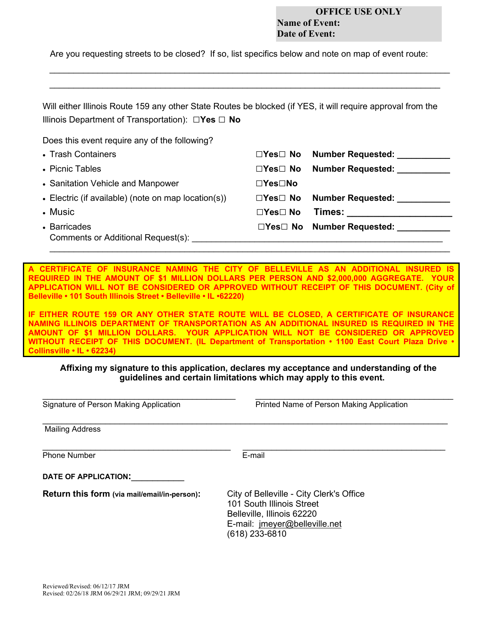## **OFFICE USE ONLY Name of Event: Date of Event:**

Are you requesting streets to be closed? If so, list specifics below and note on map of event route:

*\_\_\_\_\_\_\_\_\_\_\_\_\_\_\_\_\_\_\_\_\_\_\_\_\_\_\_\_\_\_\_\_\_\_\_\_\_\_\_\_\_\_\_\_\_\_\_\_\_\_\_\_\_\_\_\_\_\_\_\_\_\_\_\_\_\_\_\_\_\_\_\_\_\_\_\_\_\_\_\_\_\_\_ \_\_\_\_\_\_\_\_\_\_\_\_\_\_\_\_\_\_\_\_\_\_\_\_\_\_\_\_\_\_\_\_\_\_\_\_\_\_\_\_\_\_\_\_\_\_\_\_\_\_\_\_\_\_\_\_\_\_\_\_\_\_\_\_\_\_\_\_\_\_\_\_\_\_\_\_\_\_\_\_\_*

| Will either Illinois Route 159 any other State Routes be blocked (if YES, it will require approval from the |
|-------------------------------------------------------------------------------------------------------------|
| Illinois Department of Transportation): $\Box$ Yes $\Box$ No                                                |

Does this event require any of the following?

| • Trash Containers                                  |                            | $\Box$ Yes $\Box$ No Number Requested:                                                                                                                                                                                        |
|-----------------------------------------------------|----------------------------|-------------------------------------------------------------------------------------------------------------------------------------------------------------------------------------------------------------------------------|
| • Picnic Tables                                     | $\Box$ Yes $\Box$ No       | <b>Number Requested:</b>                                                                                                                                                                                                      |
| • Sanitation Vehicle and Manpower                   | $\square$ Yes $\square$ No |                                                                                                                                                                                                                               |
| • Electric (if available) (note on map location(s)) | $\Box Y$ es $\Box$ No      | <b>Number Requested:</b>                                                                                                                                                                                                      |
| • Music                                             | $\Box$ Yes $\Box$ No       | Times: when the control of the control of the control of the control of the control of the control of the control of the control of the control of the control of the control of the control of the control of the control of |
| • Barricades<br>Comments or Additional Request(s):  |                            | □Yes□ No Number Requested:                                                                                                                                                                                                    |
|                                                     |                            |                                                                                                                                                                                                                               |

**A CERTIFICATE OF INSURANCE NAMING THE CITY OF BELLEVILLE AS AN ADDITIONAL INSURED IS REQUIRED IN THE AMOUNT OF \$1 MILLION DOLLARS PER PERSON AND \$2,000,000 AGGREGATE. YOUR APPLICATION WILL NOT BE CONSIDERED OR APPROVED WITHOUT RECEIPT OF THIS DOCUMENT. (City of Belleville • 101 South Illinois Street • Belleville • IL •62220)**

**IF EITHER ROUTE 159 OR ANY OTHER STATE ROUTE WILL BE CLOSED, A CERTIFICATE OF INSURANCE NAMING ILLINOIS DEPARTMENT OF TRANSPORTATION AS AN ADDITIONAL INSURED IS REQUIRED IN THE AMOUNT OF \$1 MILLION DOLLARS. YOUR APPLICATION WILL NOT BE CONSIDERED OR APPROVED WITHOUT RECEIPT OF THIS DOCUMENT. (IL Department of Transportation • 1100 East Court Plaza Drive • Collinsville • IL • 62234)**

## **Affixing my signature to this application, declares my acceptance and understanding of the guidelines and certain limitations which may apply to this event.**

| Signature of Person Making Application       | Printed Name of Person Making Application                                                                                                              |
|----------------------------------------------|--------------------------------------------------------------------------------------------------------------------------------------------------------|
| <b>Mailing Address</b>                       |                                                                                                                                                        |
| <b>Phone Number</b>                          | E-mail                                                                                                                                                 |
| DATE OF APPLICATION:                         |                                                                                                                                                        |
| Return this form (via mail/email/in-person): | City of Belleville - City Clerk's Office<br>101 South Illinois Street<br>Belleville, Illinois 62220<br>E-mail: jmeyer@belleville.net<br>(618) 233-6810 |